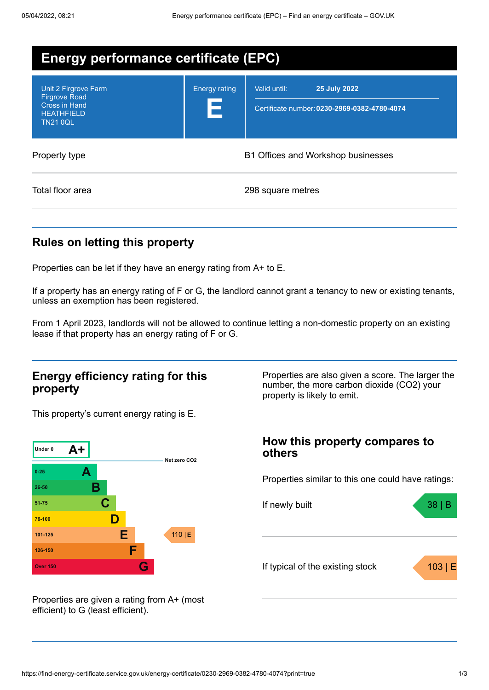| <b>Energy performance certificate (EPC)</b>                                                           |                                    |                                                                              |  |
|-------------------------------------------------------------------------------------------------------|------------------------------------|------------------------------------------------------------------------------|--|
| Unit 2 Firgrove Farm<br><b>Firgrove Road</b><br>Cross in Hand<br><b>HEATHFIELD</b><br><b>TN21 0QL</b> | <b>Energy rating</b><br>Е          | Valid until:<br>25 July 2022<br>Certificate number: 0230-2969-0382-4780-4074 |  |
| Property type                                                                                         | B1 Offices and Workshop businesses |                                                                              |  |
| Total floor area                                                                                      |                                    | 298 square metres                                                            |  |

### **Rules on letting this property**

Properties can be let if they have an energy rating from A+ to E.

If a property has an energy rating of F or G, the landlord cannot grant a tenancy to new or existing tenants, unless an exemption has been registered.

From 1 April 2023, landlords will not be allowed to continue letting a non-domestic property on an existing lease if that property has an energy rating of F or G.

#### **Energy efficiency rating for this property**

This property's current energy rating is E.



Properties are given a rating from A+ (most efficient) to G (least efficient).

Properties are also given a score. The larger the number, the more carbon dioxide (CO2) your property is likely to emit.

# **How this property compares to others** Properties similar to this one could have ratings: If newly built a set of the set of the set of the set of the set of the set of the set of the set of the set of the set of the set of the set of the set of the set of the set of the set of the set of the set of the set of

If typical of the existing stock  $\overline{103}$  | E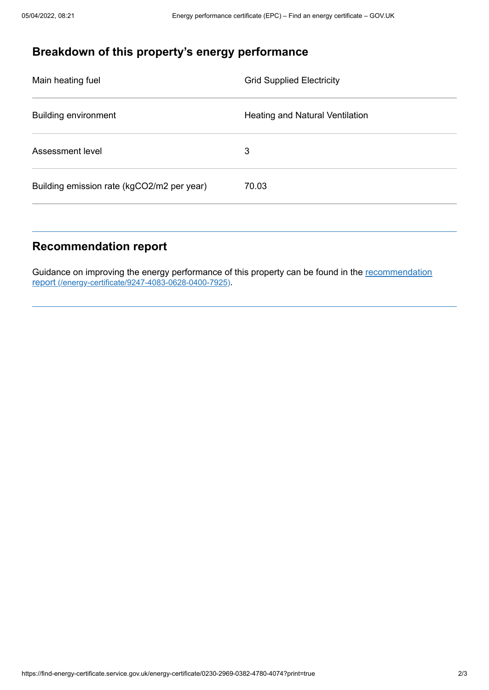# **Breakdown of this property's energy performance**

| Main heating fuel                          | <b>Grid Supplied Electricity</b>       |
|--------------------------------------------|----------------------------------------|
| <b>Building environment</b>                | <b>Heating and Natural Ventilation</b> |
| Assessment level                           | 3                                      |
| Building emission rate (kgCO2/m2 per year) | 70.03                                  |
|                                            |                                        |

# **Recommendation report**

Guidance on improving the energy performance of this property can be found in the recommendation report [\(/energy-certificate/9247-4083-0628-0400-7925\)](https://find-energy-certificate.service.gov.uk/energy-certificate/9247-4083-0628-0400-7925).